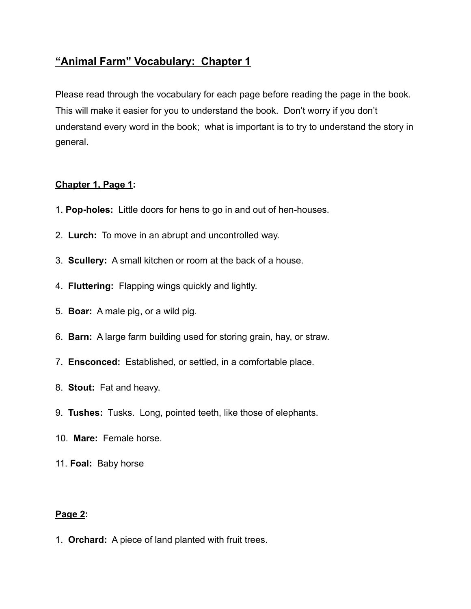# **"Animal Farm" Vocabulary: Chapter 1**

Please read through the vocabulary for each page before reading the page in the book. This will make it easier for you to understand the book. Don't worry if you don't understand every word in the book; what is important is to try to understand the story in general.

## **Chapter 1, Page 1:**

- 1. **Pop-holes:** Little doors for hens to go in and out of hen-houses.
- 2. **Lurch:** To move in an abrupt and uncontrolled way.
- 3. **Scullery:** A small kitchen or room at the back of a house.
- 4. **Fluttering:** Flapping wings quickly and lightly.
- 5. **Boar:** A male pig, or a wild pig.
- 6. **Barn:** A large farm building used for storing grain, hay, or straw.
- 7. **Ensconced:** Established, or settled, in a comfortable place.
- 8. **Stout:** Fat and heavy.
- 9. **Tushes:** Tusks. Long, pointed teeth, like those of elephants.
- 10. **Mare:** Female horse.
- 11. **Foal:** Baby horse

### **Page 2:**

1. **Orchard:** A piece of land planted with fruit trees.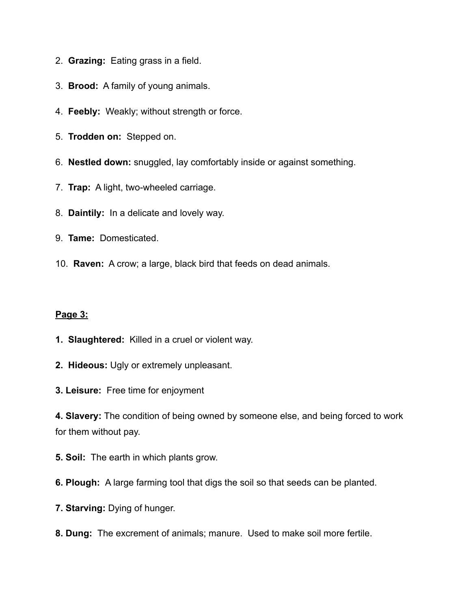- 2. **Grazing:** Eating grass in a field.
- 3. **Brood:** A family of young animals.
- 4. **Feebly:** Weakly; without strength or force.
- 5. **Trodden on:** Stepped on.
- 6. **Nestled down:** snuggled, lay comfortably inside or against something.
- 7. **Trap:** A light, two-wheeled carriage.
- 8. **Daintily:** In a delicate and lovely way.
- 9. **Tame:** Domesticated.
- 10. **Raven:** A crow; a large, black bird that feeds on dead animals.

#### **Page 3:**

- **1. Slaughtered:** Killed in a cruel or violent way.
- **2. Hideous:** Ugly or extremely unpleasant.
- **3. Leisure:** Free time for enjoyment

**4. Slavery:** The condition of being owned by someone else, and being forced to work for them without pay.

- **5. Soil:** The earth in which plants grow.
- **6. Plough:** A large farming tool that digs the soil so that seeds can be planted.
- **7. Starving:** Dying of hunger.
- **8. Dung:** The excrement of animals; manure. Used to make soil more fertile.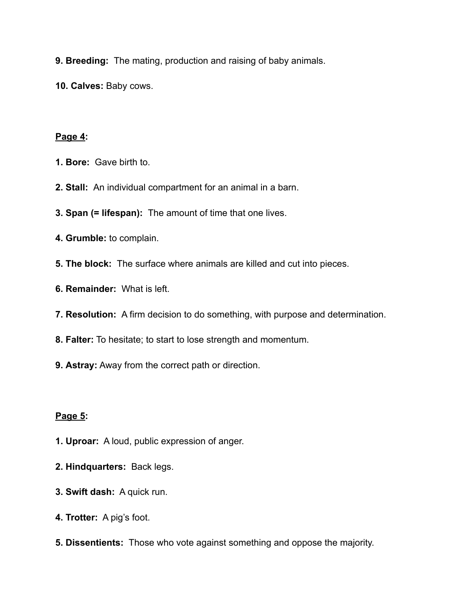**9. Breeding:** The mating, production and raising of baby animals.

**10. Calves:** Baby cows.

#### **Page 4:**

- **1. Bore:** Gave birth to.
- **2. Stall:** An individual compartment for an animal in a barn.
- **3. Span (= lifespan):** The amount of time that one lives.
- **4. Grumble:** to complain.
- **5. The block:** The surface where animals are killed and cut into pieces.
- **6. Remainder:** What is left.
- **7. Resolution:** A firm decision to do something, with purpose and determination.
- **8. Falter:** To hesitate; to start to lose strength and momentum.
- **9. Astray:** Away from the correct path or direction.

### **Page 5:**

- **1. Uproar:** A loud, public expression of anger.
- **2. Hindquarters:** Back legs.
- **3. Swift dash:** A quick run.
- **4. Trotter:** A pig's foot.
- **5. Dissentients:** Those who vote against something and oppose the majority.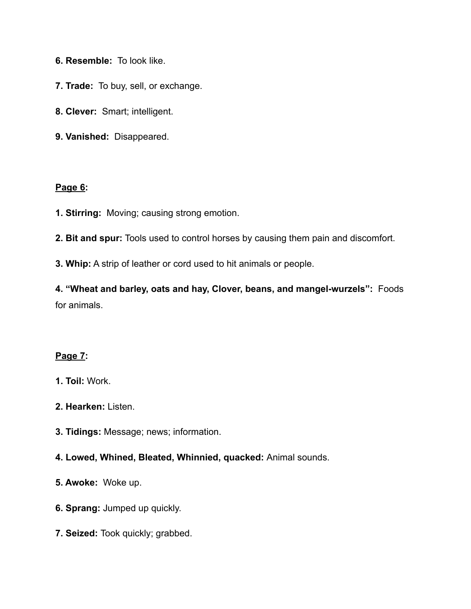- **6. Resemble:** To look like.
- **7. Trade:** To buy, sell, or exchange.
- **8. Clever:** Smart; intelligent.
- **9. Vanished:** Disappeared.

#### **Page 6:**

- **1. Stirring:** Moving; causing strong emotion.
- **2. Bit and spur:** Tools used to control horses by causing them pain and discomfort.
- **3. Whip:** A strip of leather or cord used to hit animals or people.

**4. "Wheat and barley, oats and hay, Clover, beans, and mangel-wurzels":** Foods for animals.

# **Page 7:**

- **1. Toil:** Work.
- **2. Hearken:** Listen.
- **3. Tidings:** Message; news; information.

## **4. Lowed, Whined, Bleated, Whinnied, quacked:** Animal sounds.

- **5. Awoke:** Woke up.
- **6. Sprang:** Jumped up quickly.
- **7. Seized:** Took quickly; grabbed.